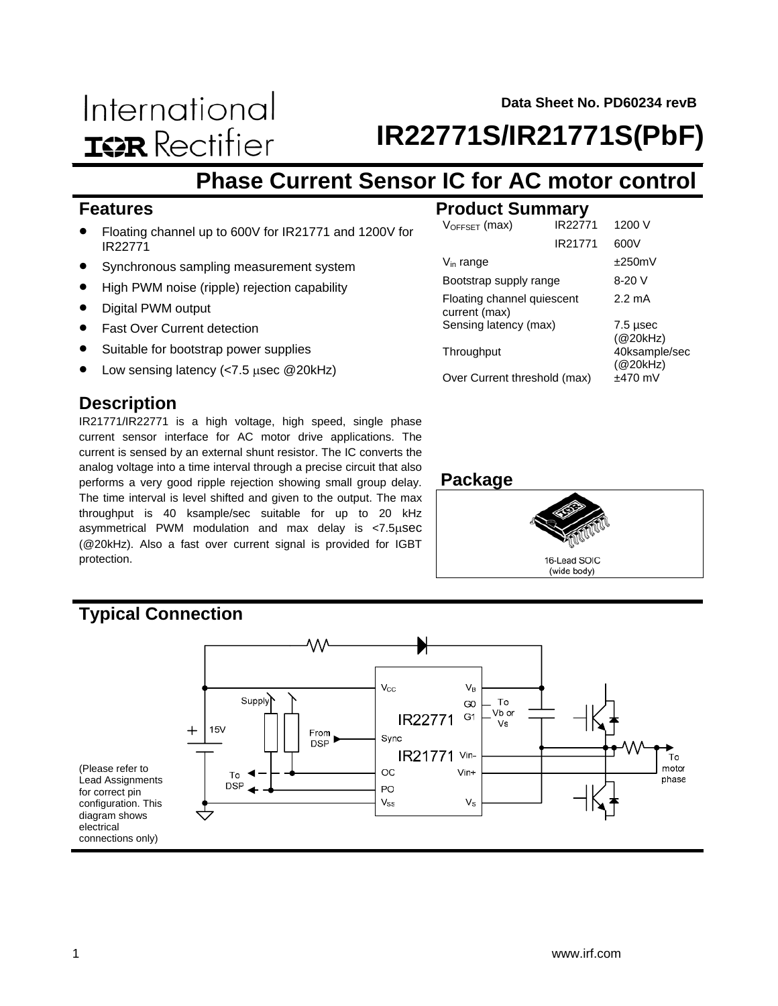**Data Sheet No. PD60234 revB**

International **ISR** Rectifier

**IR22771S/IR21771S(PbF)**

## **Phase Current Sensor IC for AC motor control**

#### **Features**

- Floating channel up to 600V for IR21771 and 1200V for IR22771
- Synchronous sampling measurement system
- High PWM noise (ripple) rejection capability
- Digital PWM output
- Fast Over Current detection
- Suitable for bootstrap power supplies
- Low sensing latency (<7.5 µsec @20kHz)

### **Description**

IR21771/IR22771 is a high voltage, high speed, single phase current sensor interface for AC motor drive applications. The current is sensed by an external shunt resistor. The IC converts the analog voltage into a time interval through a precise circuit that also performs a very good ripple rejection showing small group delay. The time interval is level shifted and given to the output. The max throughput is 40 ksample/sec suitable for up to 20 kHz asymmetrical PWM modulation and max delay is <7.5µsec (@20kHz). Also a fast over current signal is provided for IGBT protection.

#### **Product Summary**

| $V_{OFFSET}$ (max)                          | IR22771          | 1200 V                    |
|---------------------------------------------|------------------|---------------------------|
|                                             | IR21771          | 600V                      |
| $V_{\text{in}}$ range                       |                  | ±250mV                    |
| Bootstrap supply range                      | $8-20V$          |                           |
| Floating channel quiescent<br>current (max) | $2.2 \text{ mA}$ |                           |
| Sensing latency (max)                       |                  | $7.5$ µsec<br>(@20kHz)    |
| Throughput                                  |                  | 40ksample/sec<br>(@20kHz) |
| Over Current threshold (max)                |                  | $±470$ mV                 |

#### **Package**



## **Typical Connection**

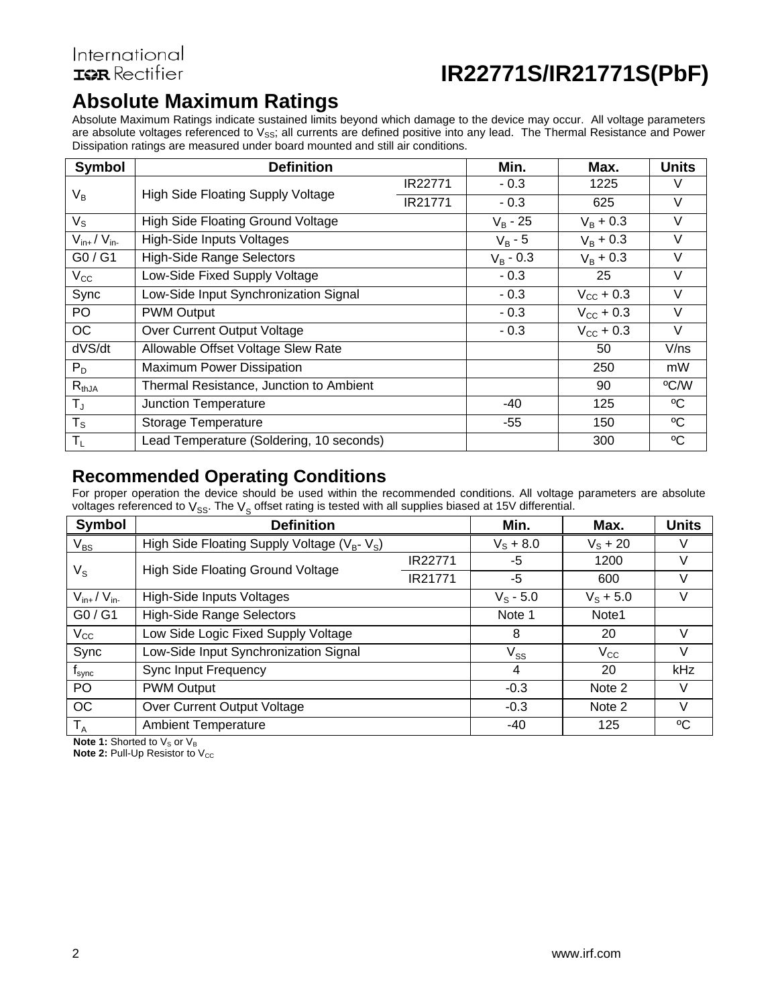## **IR22771S/IR21771S(PbF)**

## **Absolute Maximum Ratings**

Absolute Maximum Ratings indicate sustained limits beyond which damage to the device may occur. All voltage parameters are absolute voltages referenced to V<sub>SS</sub>; all currents are defined positive into any lead. The Thermal Resistance and Power Dissipation ratings are measured under board mounted and still air conditions.

| <b>Symbol</b>      | <b>Definition</b>                        |         | Min.          | Max.                  | <b>Units</b> |
|--------------------|------------------------------------------|---------|---------------|-----------------------|--------------|
|                    | <b>High Side Floating Supply Voltage</b> | IR22771 | $-0.3$        | 1225                  | V            |
| $V_B$              |                                          | IR21771 | $-0.3$        | 625                   | V            |
| $V_{\rm S}$        | High Side Floating Ground Voltage        |         | $V_B - 25$    | $V_{\rm B}$ + 0.3     | V            |
| $V_{in+} / V_{in}$ | High-Side Inputs Voltages                |         | $V_B - 5$     | $V_{B}$ + 0.3         | V            |
| G0/G1              | <b>High-Side Range Selectors</b>         |         | $V_{B} - 0.3$ | $V_{B}$ + 0.3         | V            |
| $V_{\rm CC}$       | Low-Side Fixed Supply Voltage            |         | $-0.3$        | 25                    | V            |
| Sync               | Low-Side Input Synchronization Signal    |         | $-0.3$        | $V_{\rm CC}$ + 0.3    | V            |
| PO.                | <b>PWM Output</b>                        |         | $-0.3$        | $V_{\rm CC}$ + 0.3    | V            |
| <b>OC</b>          | Over Current Output Voltage              |         | $-0.3$        | $V_{\text{CC}} + 0.3$ | $\vee$       |
| dVS/dt             | Allowable Offset Voltage Slew Rate       |         |               | 50                    | V/ns         |
| $P_D$              | <b>Maximum Power Dissipation</b>         |         |               | 250                   | mW           |
| $R_{thJA}$         | Thermal Resistance, Junction to Ambient  |         |               | 90                    | °C/W         |
| $T_{J}$            | Junction Temperature                     |         | -40           | 125                   | °C           |
| $T_S$              | Storage Temperature                      |         | $-55$         | 150                   | °C           |
| $T_{L}$            | Lead Temperature (Soldering, 10 seconds) |         |               | 300                   | $\rm ^{o}C$  |

### **Recommended Operating Conditions**

For proper operation the device should be used within the recommended conditions. All voltage parameters are absolute voltages referenced to  $\vee_{SS}$ . The  $\vee_{S}$  offset rating is tested with all supplies biased at 15V differential.

| <b>Symbol</b>                             | <b>Definition</b>                                   |         | Min.                       | Max.              | <b>Units</b> |
|-------------------------------------------|-----------------------------------------------------|---------|----------------------------|-------------------|--------------|
| $V_{BS}$                                  | High Side Floating Supply Voltage ( $V_B$ - $V_S$ ) |         | $V_{\rm S} + 8.0$          | $V_{\rm S}$ + 20  |              |
|                                           | High Side Floating Ground Voltage                   | IR22771 | -5                         | 1200              | V            |
| $V_{\rm S}$                               |                                                     | IR21771 | -5                         | 600               | V            |
| $V_{in+} / V_{in-}$                       | High-Side Inputs Voltages                           |         |                            | $V_{\rm S} + 5.0$ | V            |
| GO / G1                                   | <b>High-Side Range Selectors</b>                    |         | Note 1                     | Note1             |              |
| $V_{\rm CC}$                              | Low Side Logic Fixed Supply Voltage                 |         | 8                          | 20                | V            |
| Sync                                      | Low-Side Input Synchronization Signal               |         | $\mathsf{V}_{\mathsf{SS}}$ | $V_{\rm CC}$      | V            |
| $\boldsymbol{\mathsf{f}}_{\mathsf{sync}}$ | <b>Sync Input Frequency</b>                         |         | 4                          | 20                | kHz          |
| PO.                                       | <b>PWM Output</b>                                   |         | $-0.3$                     | Note 2            | V            |
| <b>OC</b>                                 | Over Current Output Voltage                         |         | $-0.3$                     | Note 2            | V            |
| $T_A$                                     | <b>Ambient Temperature</b>                          |         | -40                        | 125               | °C           |

**Note 1:** Shorted to V<sub>S</sub> or V<sub>B</sub>

**Note 2: Pull-Up Resistor to V<sub>cc</sub>**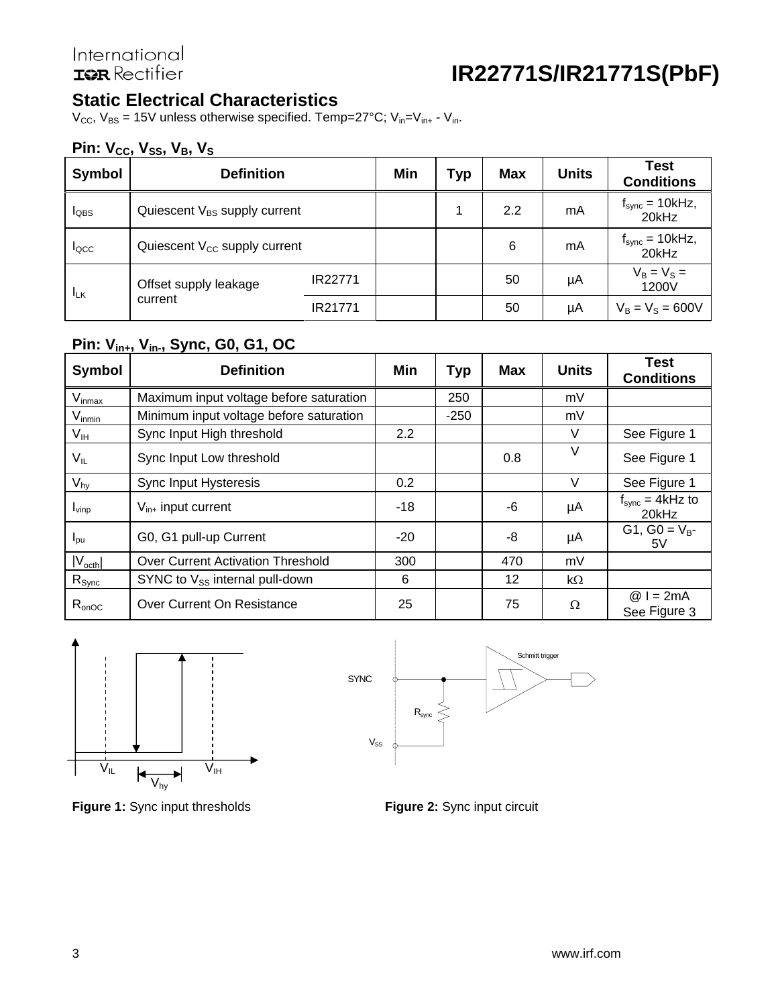### **Static Electrical Characteristics**

 $V_{CC}$ ,  $V_{BS}$  = 15V unless otherwise specified. Temp=27°C;  $V_{in}=V_{in+}$  -  $V_{in}$ .

### **Pin: V<sub>cc</sub>, V<sub>ss</sub>, V<sub>B</sub>, V<sub>s</sub>**

| <b>Symbol</b>    | <b>Definition</b>                 |         | Min | Typ | Max | <b>Units</b> | <b>Test</b><br><b>Conditions</b> |
|------------------|-----------------------------------|---------|-----|-----|-----|--------------|----------------------------------|
| $I_{\text{OBS}}$ | Quiescent $V_{BS}$ supply current |         |     |     | 2.2 | mA           | $f_{sync} = 10kHz,$<br>20kHz     |
| <b>I</b> QCC     | Quiescent $V_{CC}$ supply current |         |     |     | 6   | mA           | $f_{sync} = 10kHz,$<br>20kHz     |
| $I_{LK}$         | Offset supply leakage<br>current  | IR22771 |     |     | 50  | μA           | $V_B = V_S =$<br>1200V           |
|                  |                                   | IR21771 |     |     | 50  | μA           | $V_B = V_S = 600V$               |

#### **Pin: Vin+, Vin-, Sync, G0, G1, OC**

| <b>Symbol</b>       | <b>Definition</b>                        | Min   | <b>Typ</b> | <b>Max</b> | <b>Units</b> | <b>Test</b><br><b>Conditions</b> |
|---------------------|------------------------------------------|-------|------------|------------|--------------|----------------------------------|
| $V_{inmax}$         | Maximum input voltage before saturation  |       | 250        |            | mV           |                                  |
| $V_{inmin}$         | Minimum input voltage before saturation  |       | $-250$     |            | mV           |                                  |
| V <sub>IH</sub>     | Sync Input High threshold                | 2.2   |            |            | V            | See Figure 1                     |
| $V_{IL}$            | Sync Input Low threshold                 |       |            | 0.8        | V            | See Figure 1                     |
| $V_{hy}$            | Sync Input Hysteresis                    | 0.2   |            |            | $\vee$       | See Figure 1                     |
| $I_{\text{vinp}}$   | $V_{\text{in+}}$ input current           | $-18$ |            | -6         | μA           | $f_{sync} = 4kHz$ to<br>20kHz    |
| $I_{\text{pu}}$     | G0, G1 pull-up Current                   | $-20$ |            | -8         | μA           | $G1, G0 = V_{B}$ -<br>5V         |
| $ V_{\text{octh}} $ | <b>Over Current Activation Threshold</b> | 300   |            | 470        | mV           |                                  |
| $R_{\text{sync}}$   | SYNC to $V_{SS}$ internal pull-down      | 6     |            | 12         | $k\Omega$    |                                  |
| $R_{onOC}$          | Over Current On Resistance               | 25    |            | 75         | Ω            | $@I = 2mA$<br>See Figure 3       |



**Figure 1:** Sync input thresholds **Figure 2:** Sync input circuit

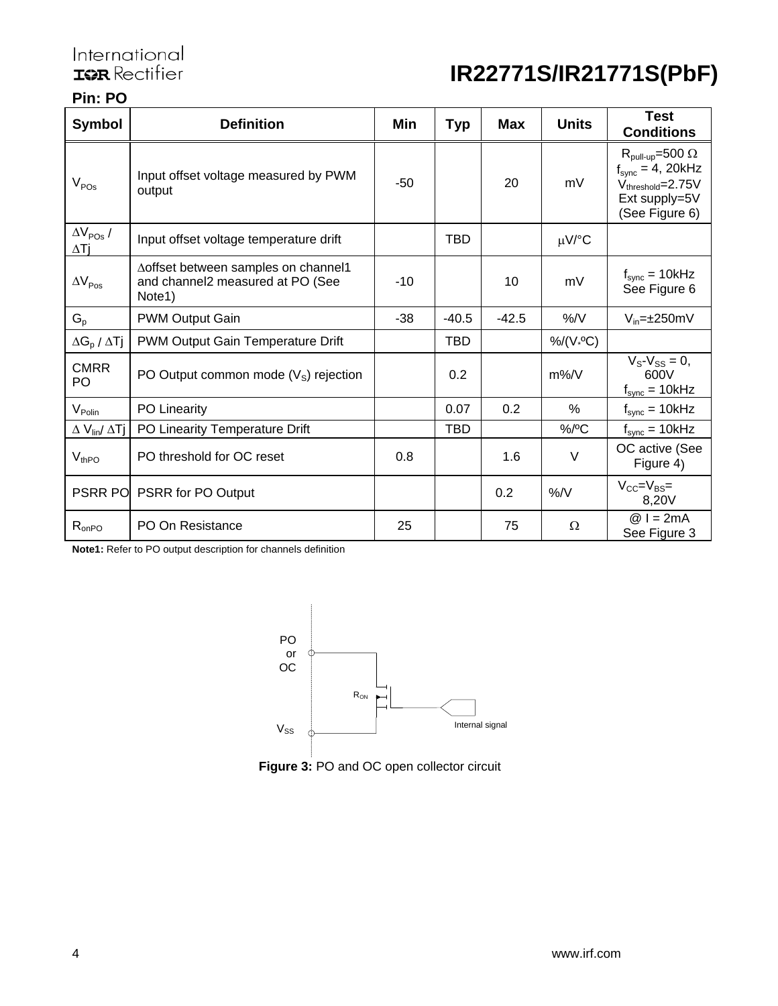# International<br>TRR Rectifier

## **IR22771S/IR21771S(PbF)**

#### **Pin: PO**

| <b>Symbol</b>                           | <b>Definition</b>                                                                              | Min   | <b>Typ</b> | <b>Max</b> | <b>Units</b>         | Test<br><b>Conditions</b>                                                                                                 |
|-----------------------------------------|------------------------------------------------------------------------------------------------|-------|------------|------------|----------------------|---------------------------------------------------------------------------------------------------------------------------|
| $V_{POS}$                               | Input offset voltage measured by PWM<br>output                                                 | $-50$ |            | 20         | mV                   | $R_{\text{pull-up}} = 500 \Omega$<br>$f_{sync} = 4$ , 20kHz<br>$V_{threshold} = 2.75V$<br>Ext supply=5V<br>(See Figure 6) |
| $\Delta V_{POS}$ /<br>ΔTi               | Input offset voltage temperature drift                                                         |       | TBD        |            | $\mu$ V/°C           |                                                                                                                           |
| $\Delta V_{\text{Pos}}$                 | ∆offset between samples on channel1<br>and channel2 measured at PO (See<br>Note <sub>1</sub> ) | $-10$ |            | 10         | mV                   | $f_{sync} = 10kHz$<br>See Figure 6                                                                                        |
| $G_{p}$                                 | <b>PWM Output Gain</b>                                                                         | $-38$ | $-40.5$    | $-42.5$    | $\%N$                | $V_{in} = \pm 250$ mV                                                                                                     |
| $\Delta G_p / \Delta Tj$                | PWM Output Gain Temperature Drift                                                              |       | <b>TBD</b> |            | %/(V <sup>0</sup> C) |                                                                                                                           |
| <b>CMRR</b><br>PO                       | PO Output common mode $(VS)$ rejection                                                         |       | 0.2        |            | $m\%$ /V             | $V_{\rm s}\text{-}V_{\rm SS}=0$ ,<br>600V<br>$f_{sync} = 10kHz$                                                           |
| $V_{Polin}$                             | PO Linearity                                                                                   |       | 0.07       | 0.2        | %                    | $f_{sync} = 10kHz$                                                                                                        |
| $\Delta$ V <sub>lin</sub> / $\Delta$ Tj | PO Linearity Temperature Drift                                                                 |       | <b>TBD</b> |            | %/°C                 | $f_{sync} = 10kHz$                                                                                                        |
| $V_{thPO}$                              | PO threshold for OC reset                                                                      | 0.8   |            | 1.6        | $\vee$               | OC active (See<br>Figure 4)                                                                                               |
| <b>PSRR PO</b>                          | PSRR for PO Output                                                                             |       |            | 0.2        | %/V                  | $V_{CC} = V_{BS} =$<br>8,20V                                                                                              |
| $R_{onPO}$                              | PO On Resistance                                                                               | 25    |            | 75         | Ω                    | $@I = 2mA$<br>See Figure 3                                                                                                |

**Note1:** Refer to PO output description for channels definition



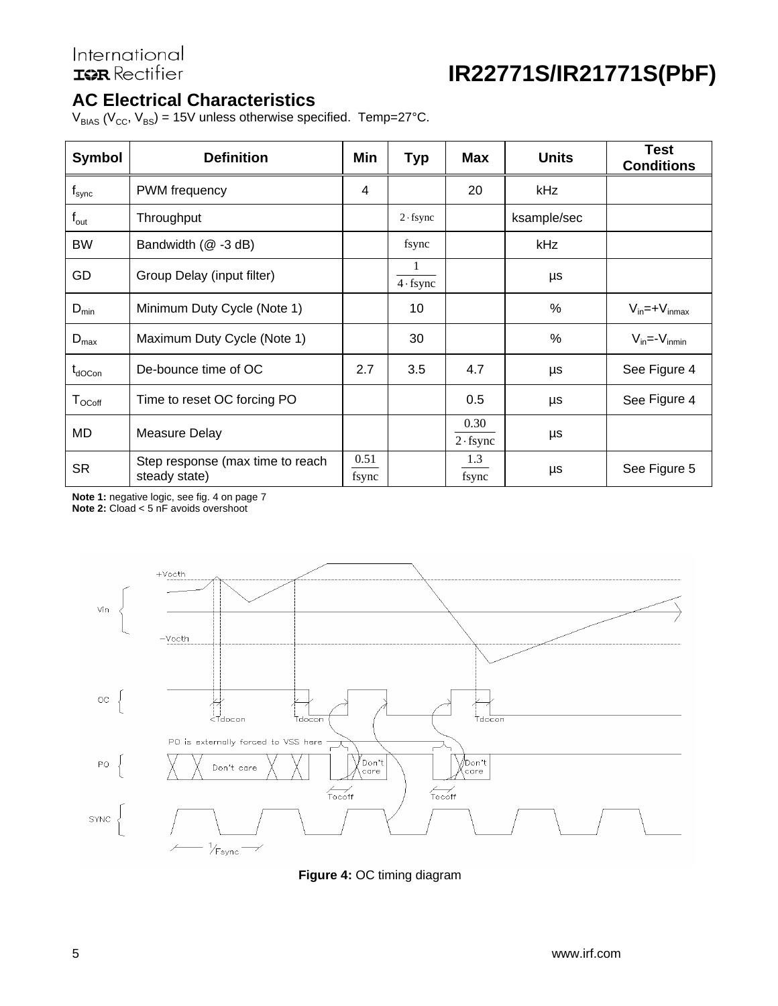## **IR22771S/IR21771S(PbF)**

## **AC Electrical Characteristics**

 $V_{BIAS}$  ( $V_{CC}$ ,  $V_{BS}$ ) = 15V unless otherwise specified. Temp=27°C.

| <b>Symbol</b>                  | <b>Definition</b>                                 | Min           | <b>Typ</b>             | <b>Max</b>          | <b>Units</b> | <b>Test</b><br><b>Conditions</b> |
|--------------------------------|---------------------------------------------------|---------------|------------------------|---------------------|--------------|----------------------------------|
| $f_{\sf sync}$                 | <b>PWM</b> frequency                              | 4             |                        | 20                  | kHz          |                                  |
| $f_{\text{out}}$               | Throughput                                        |               | $2 \cdot \text{fsync}$ |                     | ksample/sec  |                                  |
| BW                             | Bandwidth (@ -3 dB)                               |               | fsync                  |                     | kHz          |                                  |
| GD                             | Group Delay (input filter)                        |               | $4$ · fsync            |                     | μs           |                                  |
| $D_{min}$                      | Minimum Duty Cycle (Note 1)                       |               | 10                     |                     | %            | $V_{in} = +V_{inmax}$            |
| $D_{\text{max}}$               | Maximum Duty Cycle (Note 1)                       |               | 30                     |                     | %            | $V_{in} = -V_{inmin}$            |
| $t_{\text{dOCon}}$             | De-bounce time of OC                              | 2.7           | 3.5                    | 4.7                 | μs           | See Figure 4                     |
| ${\mathsf T}_{\mathsf{OCoff}}$ | Time to reset OC forcing PO                       |               |                        | 0.5                 | μs           | See Figure 4                     |
| MD                             | Measure Delay                                     |               |                        | 0.30<br>$2$ · fsync | $\mu s$      |                                  |
| <b>SR</b>                      | Step response (max time to reach<br>steady state) | 0.51<br>fsync |                        | 1.3<br>fsync        | μs           | See Figure 5                     |

**Note 1:** negative logic, see fig. 4 on page 7

**Note 2:** Cload < 5 nF avoids overshoot



**Figure 4:** OC timing diagram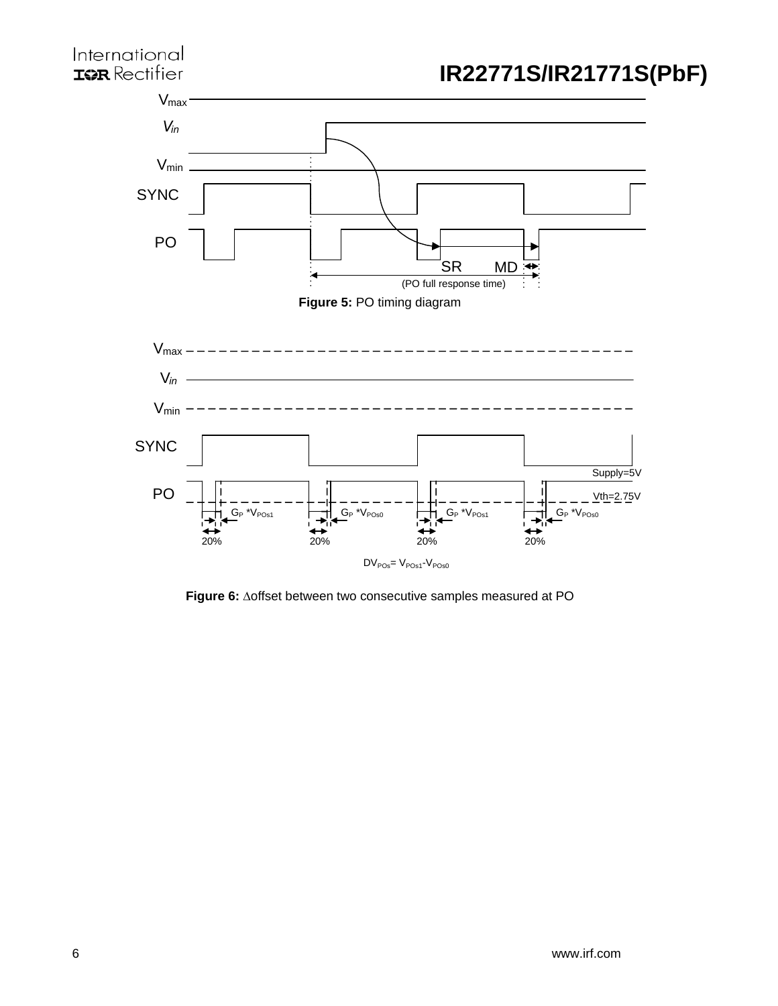

**Figure 6:** ∆offset between two consecutive samples measured at PO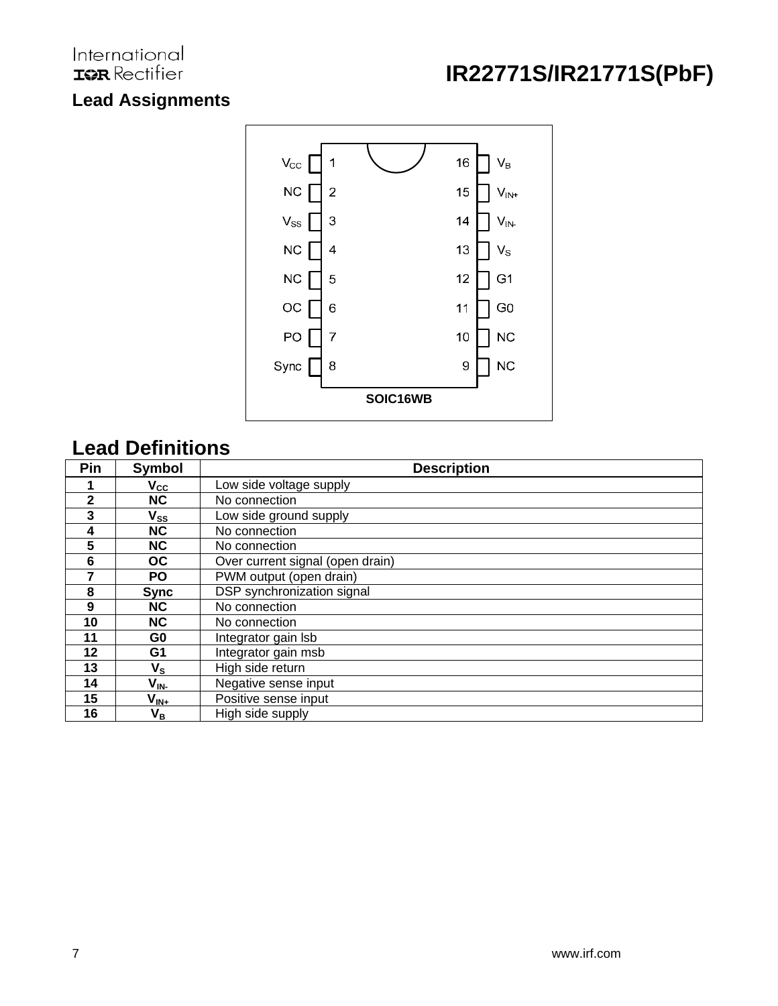## International **ISPR** Rectifier

## **IR22771S/IR21771S(PbF)**

## **Lead Assignments**



## **Lead Definitions**

| Pin          | <b>Symbol</b>      | <b>Description</b>               |
|--------------|--------------------|----------------------------------|
|              | $V_{\rm CC}$       | Low side voltage supply          |
| $\mathbf{2}$ | <b>NC</b>          | No connection                    |
| 3            | $V_{SS}$           | Low side ground supply           |
| 4            | <b>NC</b>          | No connection                    |
| 5            | <b>NC</b>          | No connection                    |
| 6            | <b>OC</b>          | Over current signal (open drain) |
|              | PO                 | PWM output (open drain)          |
| 8            | <b>Sync</b>        | DSP synchronization signal       |
| 9            | <b>NC</b>          | No connection                    |
| 10           | <b>NC</b>          | No connection                    |
| 11           | G0                 | Integrator gain Isb              |
| 12           | G1                 | Integrator gain msb              |
| 13           | $V_{\rm S}$        | High side return                 |
| 14           | $V_{IN}$           | Negative sense input             |
| 15           | $V_{\mathsf{IN+}}$ | Positive sense input             |
| 16           | V <sub>B</sub>     | High side supply                 |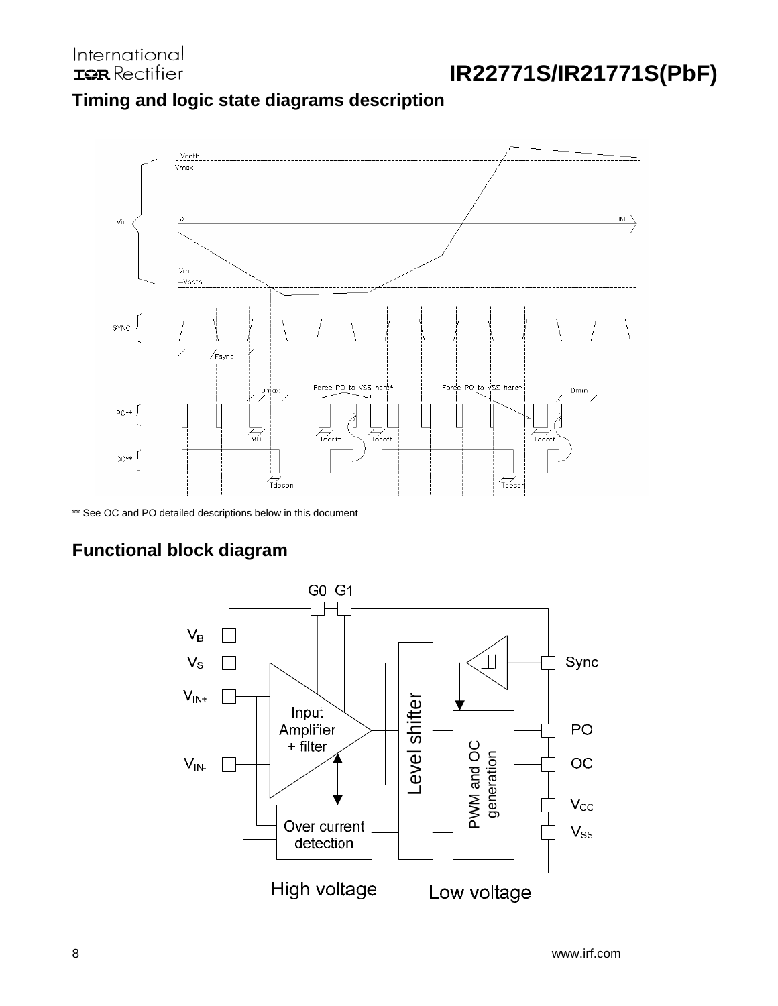## **IR22771S/IR21771S(PbF)**

## **Timing and logic state diagrams description**



\*\* See OC and PO detailed descriptions below in this document

## **Functional block diagram**

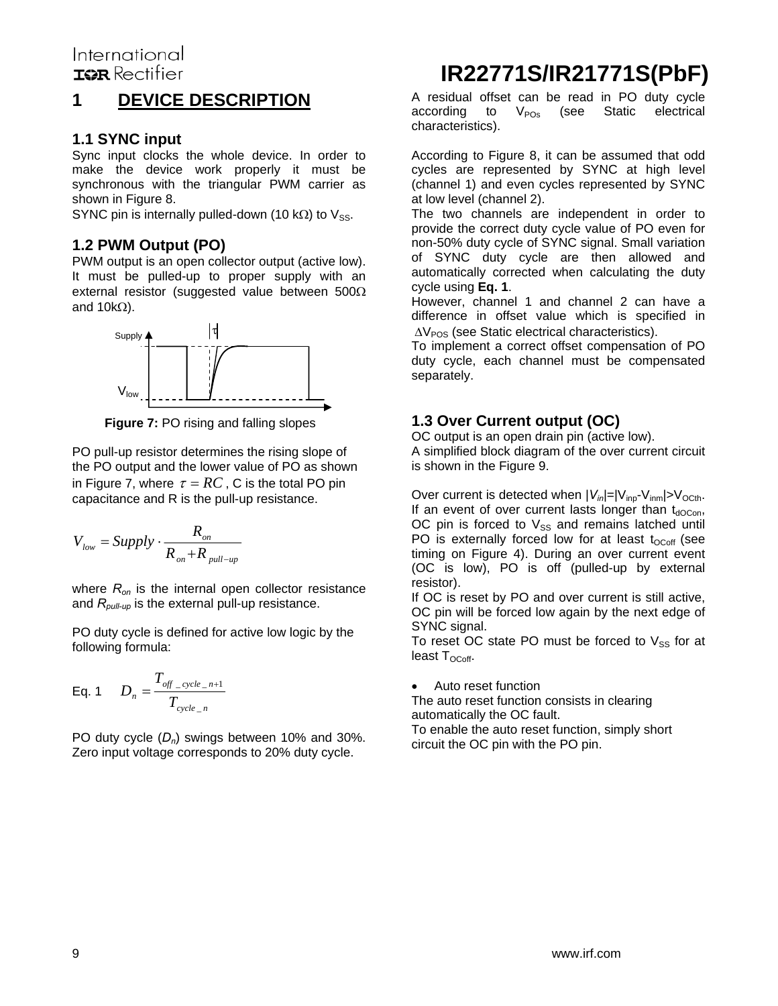### International **ISR** Rectifier

### **1 DEVICE DESCRIPTION**

#### **1.1 SYNC input**

Sync input clocks the whole device. In order to make the device work properly it must be synchronous with the triangular PWM carrier as shown in Figure 8.

SYNC pin is internally pulled-down (10 kΩ) to  $V_{SS}$ .

#### **1.2 PWM Output (PO)**

PWM output is an open collector output (active low). It must be pulled-up to proper supply with an external resistor (suggested value between 500Ω and  $10k\Omega$ ).



**Figure 7:** PO rising and falling slopes

PO pull-up resistor determines the rising slope of the PO output and the lower value of PO as shown in Figure 7, where  $\tau = RC$ , C is the total PO pin capacitance and R is the pull-up resistance.

$$
V_{low} = \text{Supply} \cdot \frac{R_{on}}{R_{on} + R_{pull-up}}
$$

where  $R_{on}$  is the internal open collector resistance and  $R_{\text{out-lip}}$  is the external pull-up resistance.

PO duty cycle is defined for active low logic by the following formula:

$$
\text{Eq. 1} \qquad D_n = \frac{T_{\text{off\_cycle\_n+1}}}{T_{\text{cycle\_n}}}
$$

PO duty cycle (*Dn*) swings between 10% and 30%. Zero input voltage corresponds to 20% duty cycle.

## **IR22771S/IR21771S(PbF)**

A residual offset can be read in PO duty cycle according to  $V_{POs}$  (see Static electrical characteristics).

According to Figure 8, it can be assumed that odd cycles are represented by SYNC at high level (channel 1) and even cycles represented by SYNC at low level (channel 2).

The two channels are independent in order to provide the correct duty cycle value of PO even for non-50% duty cycle of SYNC signal. Small variation of SYNC duty cycle are then allowed and automatically corrected when calculating the duty cycle using **Eq. 1**.

However, channel 1 and channel 2 can have a difference in offset value which is specified in ∆V<sub>POS</sub> (see Static electrical characteristics).

To implement a correct offset compensation of PO duty cycle, each channel must be compensated separately.

#### **1.3 Over Current output (OC)**

OC output is an open drain pin (active low). A simplified block diagram of the over current circuit is shown in the Figure 9.

Over current is detected when  $|V_{in}|=|V_{\text{ino}}-V_{\text{inm}}|>V_{\text{OCth}}$ . If an event of over current lasts longer than  $t_{dOCon}$ , OC pin is forced to  $V_{SS}$  and remains latched until PO is externally forced low for at least  $t_{OCOff}$  (see timing on Figure 4). During an over current event (OC is low), PO is off (pulled-up by external resistor).

If OC is reset by PO and over current is still active, OC pin will be forced low again by the next edge of SYNC signal.

To reset OC state PO must be forced to  $V_{SS}$  for at least  $T_{OCoff}$ .

• Auto reset function

The auto reset function consists in clearing automatically the OC fault.

To enable the auto reset function, simply short circuit the OC pin with the PO pin.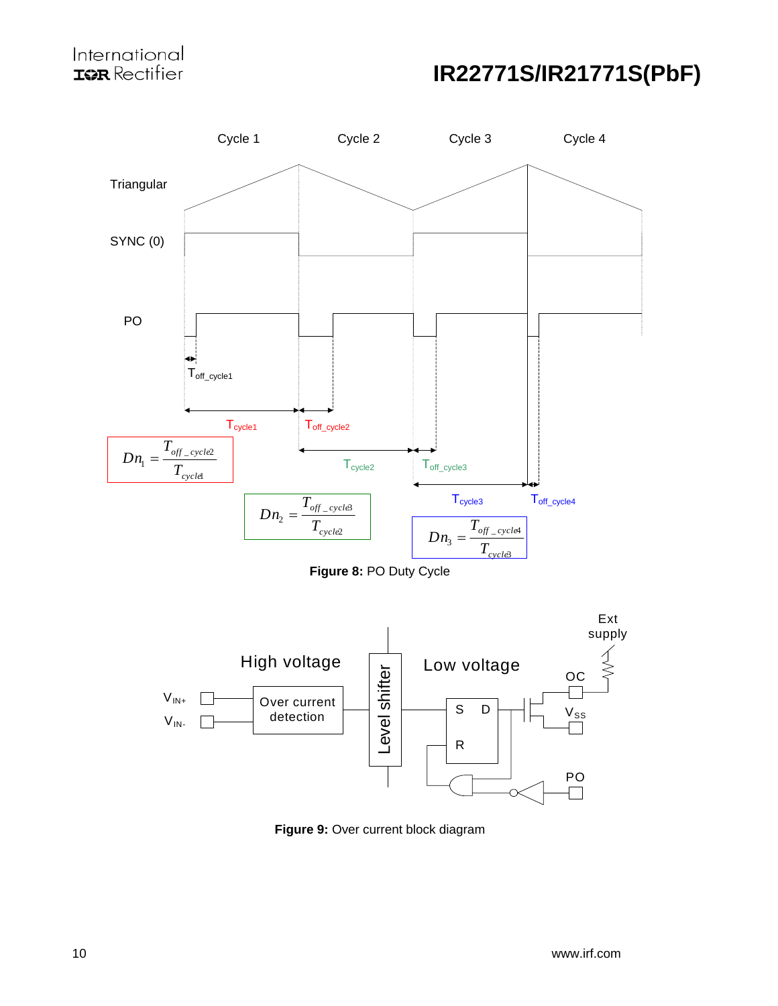### International **ISPR** Rectifier

## **IR22771S/IR21771S(PbF)**



**Figure 8:** PO Duty Cycle



**Figure 9:** Over current block diagram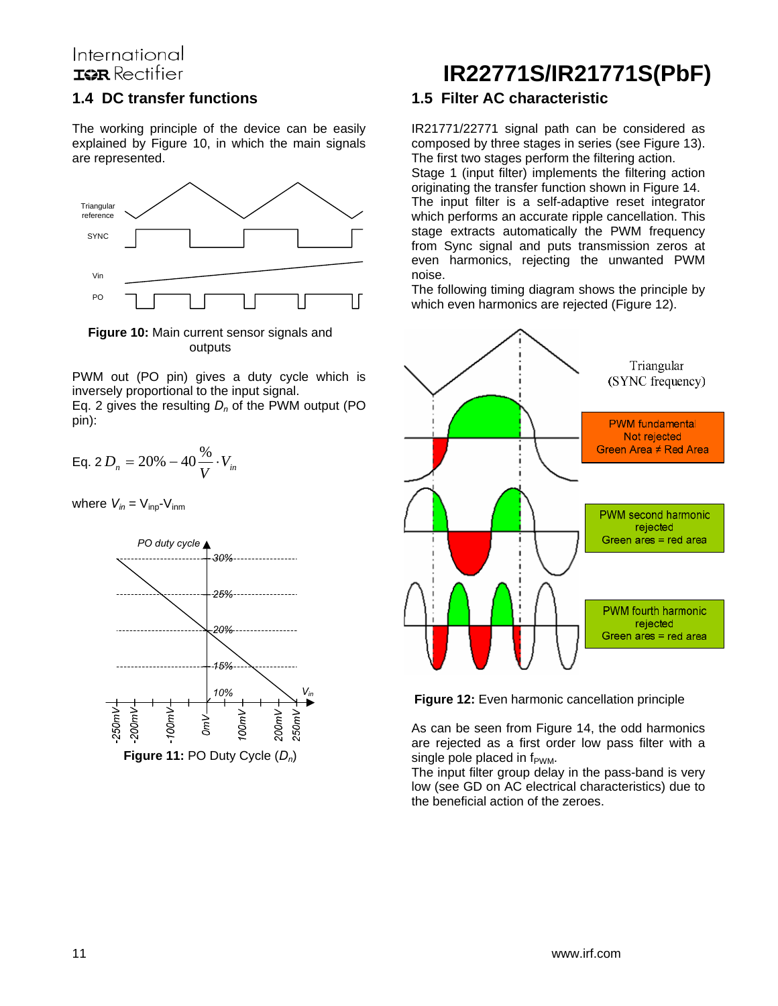### International **TOR** Rectifier

#### **1.4 DC transfer functions**

The working principle of the device can be easily explained by Figure 10, in which the main signals are represented.



**Figure 10:** Main current sensor signals and outputs

PWM out (PO pin) gives a duty cycle which is inversely proportional to the input signal.

Eq. 2 gives the resulting *Dn* of the PWM output (PO pin):

Eq. 2 
$$
D_n = 20\% - 40\frac{\%}{V} \cdot V_{in}
$$

where  $V_{in} = V_{\text{inp}} - V_{\text{imm}}$ 



## **IR22771S/IR21771S(PbF)**

### **1.5 Filter AC characteristic**

IR21771/22771 signal path can be considered as composed by three stages in series (see Figure 13). The first two stages perform the filtering action.

Stage 1 (input filter) implements the filtering action originating the transfer function shown in Figure 14. The input filter is a self-adaptive reset integrator which performs an accurate ripple cancellation. This stage extracts automatically the PWM frequency from Sync signal and puts transmission zeros at even harmonics, rejecting the unwanted PWM noise.

The following timing diagram shows the principle by which even harmonics are rejected (Figure 12).





As can be seen from Figure 14, the odd harmonics are rejected as a first order low pass filter with a single pole placed in  $f_{\text{PWM}}$ .

The input filter group delay in the pass-band is very low (see GD on AC electrical characteristics) due to the beneficial action of the zeroes.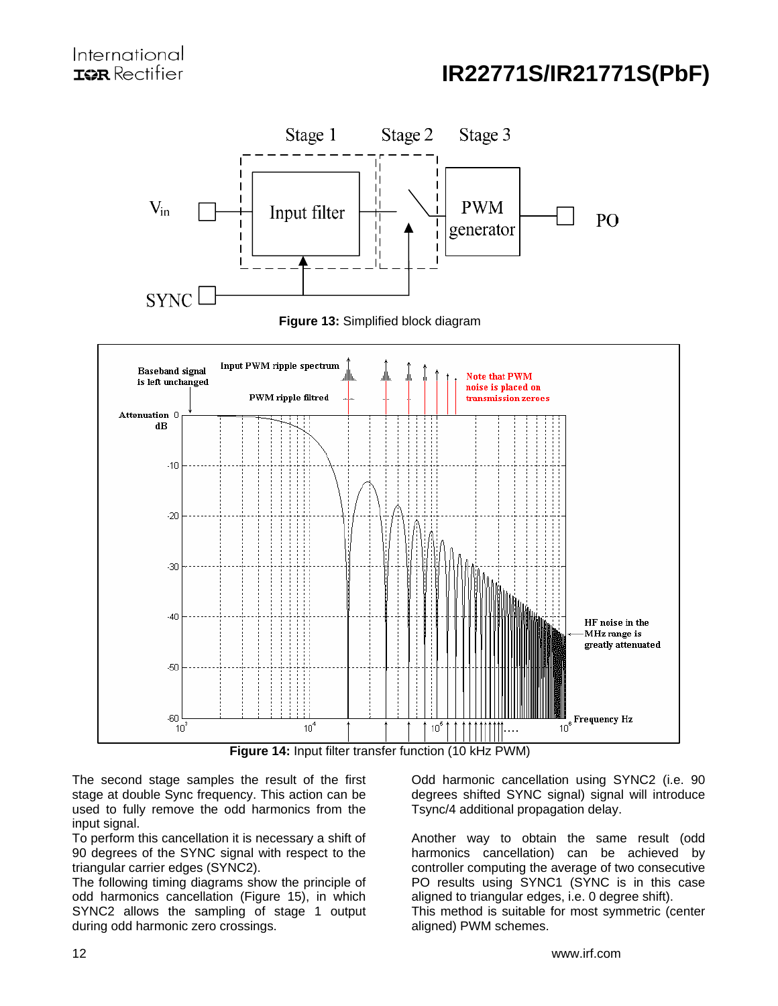





**Figure 14:** Input filter transfer function (10 kHz PWM)

The second stage samples the result of the first stage at double Sync frequency. This action can be used to fully remove the odd harmonics from the input signal.

To perform this cancellation it is necessary a shift of 90 degrees of the SYNC signal with respect to the triangular carrier edges (SYNC2).

The following timing diagrams show the principle of odd harmonics cancellation (Figure 15), in which SYNC2 allows the sampling of stage 1 output during odd harmonic zero crossings.

Odd harmonic cancellation using SYNC2 (i.e. 90 degrees shifted SYNC signal) signal will introduce Tsync/4 additional propagation delay.

Another way to obtain the same result (odd harmonics cancellation) can be achieved by controller computing the average of two consecutive PO results using SYNC1 (SYNC is in this case aligned to triangular edges, i.e. 0 degree shift). This method is suitable for most symmetric (center aligned) PWM schemes.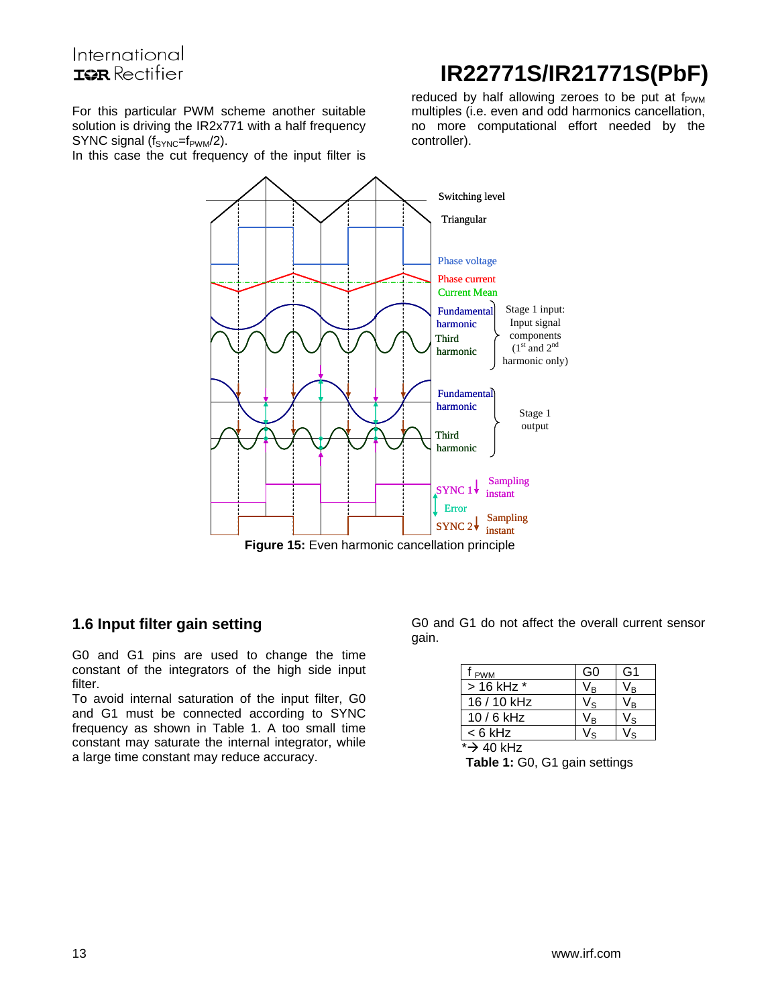### International **TOR** Rectifier

For this particular PWM scheme another suitable solution is driving the IR2x771 with a half frequency  $SYNC$  signal ( $f_{SYNC}$ = $f_{PWM}/2$ ).

In this case the cut frequency of the input filter is

**IR22771S/IR21771S(PbF)**

reduced by half allowing zeroes to be put at  $f_{\text{PWM}}$ multiples (i.e. even and odd harmonics cancellation, no more computational effort needed by the controller).



#### **1.6 Input filter gain setting**

G0 and G1 pins are used to change the time constant of the integrators of the high side input filter.

To avoid internal saturation of the input filter, G0 and G1 must be connected according to SYNC frequency as shown in Table 1. A too small time constant may saturate the internal integrator, while a large time constant may reduce accuracy.

G0 and G1 do not affect the overall current sensor gain.

| <b>Т</b> рwм | G٥  | G1 |
|--------------|-----|----|
| > 16 kHz *   | / R |    |
| $16/10$ kHz  | − ⁄ |    |
| $10/6$ kHz   | /в  |    |
| < 6 kHz      |     |    |
| *→ 40 kHz    |     |    |

**Table 1:** G0, G1 gain settings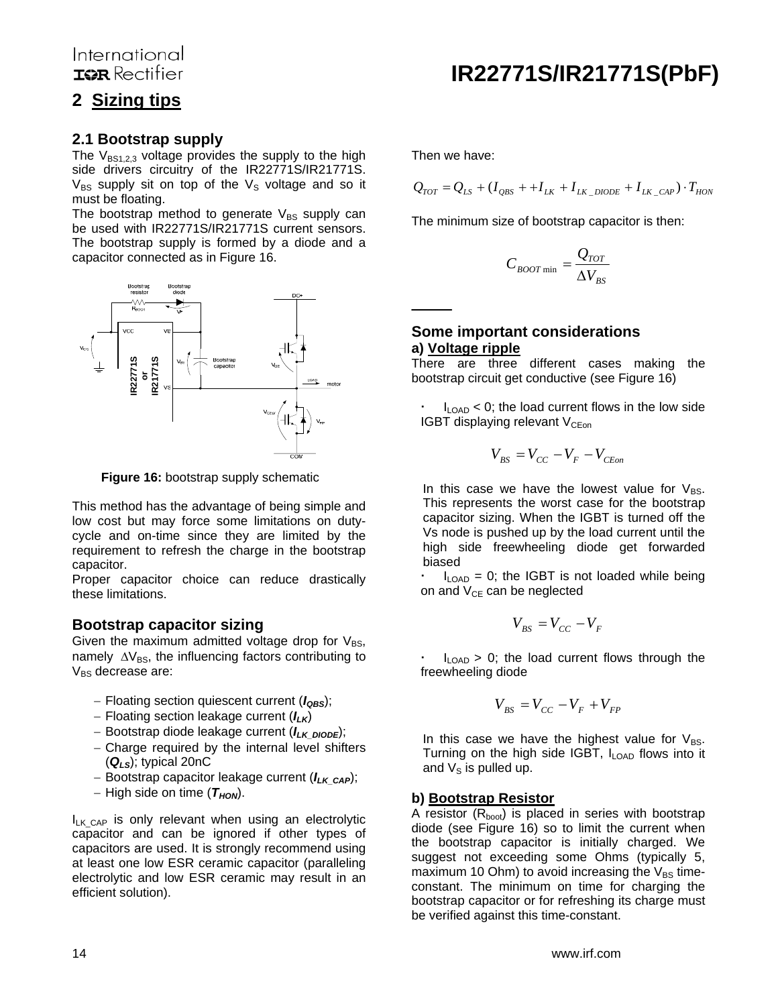#### International **TOR** Rectifier

### **2 Sizing tips**

#### **2.1 Bootstrap supply**

The  $V_{BS1,2,3}$  voltage provides the supply to the high side drivers circuitry of the IR22771S/IR21771S.  $V_{BS}$  supply sit on top of the  $V_S$  voltage and so it must be floating.

The bootstrap method to generate  $V_{BS}$  supply can be used with IR22771S/IR21771S current sensors. The bootstrap supply is formed by a diode and a capacitor connected as in Figure 16.



**Figure 16:** bootstrap supply schematic

This method has the advantage of being simple and low cost but may force some limitations on dutycycle and on-time since they are limited by the requirement to refresh the charge in the bootstrap capacitor.

Proper capacitor choice can reduce drastically these limitations.

#### **Bootstrap capacitor sizing**

Given the maximum admitted voltage drop for  $V_{BS}$ , namely  $\Delta V_{BS}$ , the influencing factors contributing to  $V_{BS}$  decrease are:

- − Floating section quiescent current (*IQBS*);
- − Floating section leakage current (*ILK*)
- − Bootstrap diode leakage current (*ILK\_DIODE*);
- − Charge required by the internal level shifters (*QLS*); typical 20nC
- − Bootstrap capacitor leakage current (*ILK\_CAP*);
- − High side on time ( $T_{HON}$ ).

 $I_{LK \text{ CAP}}$  is only relevant when using an electrolytic capacitor and can be ignored if other types of capacitors are used. It is strongly recommend using at least one low ESR ceramic capacitor (paralleling electrolytic and low ESR ceramic may result in an efficient solution).

Then we have:

$$
Q_{TOT} = Q_{LS} + (I_{QBS} + +I_{LK} + I_{LK\_DIODE} + I_{LK\_CAP}) \cdot T_{HON}
$$

**IR22771S/IR21771S(PbF)**

The minimum size of bootstrap capacitor is then:

$$
C_{\text{BOOT min}} = \frac{Q_{\text{TOT}}}{\Delta V_{\text{BS}}}
$$

#### **Some important considerations a) Voltage ripple**

There are three different cases making the bootstrap circuit get conductive (see Figure 16)

 $I_{\text{LOAD}}$  < 0; the load current flows in the low side IGBT displaying relevant  $V_{CEon}$ 

$$
V_{BS} = V_{CC} - V_F - V_{C\text{Eon}}
$$

In this case we have the lowest value for  $V_{BS}$ . This represents the worst case for the bootstrap capacitor sizing. When the IGBT is turned off the Vs node is pushed up by the load current until the high side freewheeling diode get forwarded biased

 $I_{\text{LOAD}} = 0$ ; the IGBT is not loaded while being on and  $V_{CE}$  can be neglected

$$
V_{BS} = V_{CC} - V_F
$$

 $I_{\text{LOAD}}$  > 0; the load current flows through the freewheeling diode

$$
V_{BS} = V_{CC} - V_F + V_{FP}
$$

In this case we have the highest value for  $V_{BS}$ . Turning on the high side IGBT, I<sub>LOAD</sub> flows into it and  $V_S$  is pulled up.

#### **b) Bootstrap Resistor**

A resistor  $(R_{boot})$  is placed in series with bootstrap diode (see Figure 16) so to limit the current when the bootstrap capacitor is initially charged. We suggest not exceeding some Ohms (typically 5, maximum 10 Ohm) to avoid increasing the  $V_{BS}$  timeconstant. The minimum on time for charging the bootstrap capacitor or for refreshing its charge must be verified against this time-constant.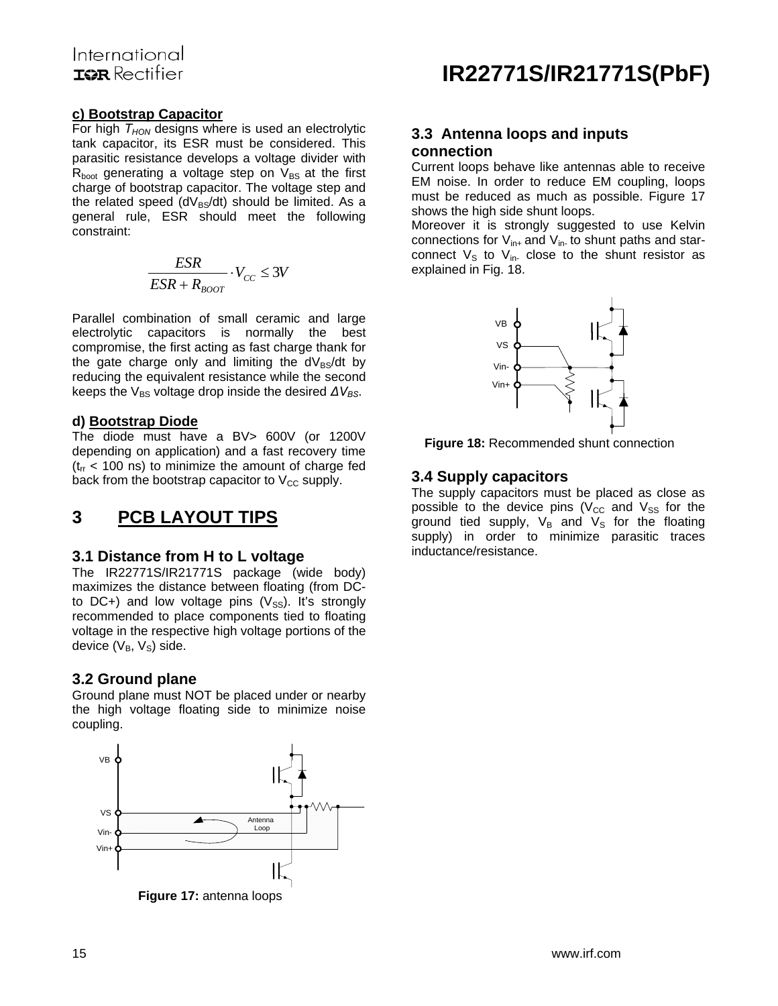#### **c) Bootstrap Capacitor**

For high  $T<sub>HON</sub>$  designs where is used an electrolytic tank capacitor, its ESR must be considered. This parasitic resistance develops a voltage divider with  $R_{boot}$  generating a voltage step on  $V_{BS}$  at the first charge of bootstrap capacitor. The voltage step and the related speed  $(dV_{BS}/dt)$  should be limited. As a general rule, ESR should meet the following constraint:

$$
\frac{ESR}{ESR + R_{\text{BOOT}}} \cdot V_{CC} \le 3V
$$

Parallel combination of small ceramic and large electrolytic capacitors is normally the best compromise, the first acting as fast charge thank for the gate charge only and limiting the  $dV_{BS}/dt$  by reducing the equivalent resistance while the second keeps the  $V_{BS}$  voltage drop inside the desired  $\Delta V_{BS}$ .

#### **d) Bootstrap Diode**

The diode must have a BV> 600V (or 1200V depending on application) and a fast recovery time  $(t_{rr}$  < 100 ns) to minimize the amount of charge fed back from the bootstrap capacitor to  $V_{CC}$  supply.

### **3 PCB LAYOUT TIPS**

#### **3.1 Distance from H to L voltage**

The IR22771S/IR21771S package (wide body) maximizes the distance between floating (from DCto DC+) and low voltage pins  $(V_{SS})$ . It's strongly recommended to place components tied to floating voltage in the respective high voltage portions of the device  $(V_B, V_S)$  side.

#### **3.2 Ground plane**

Ground plane must NOT be placed under or nearby the high voltage floating side to minimize noise coupling.



## **IR22771S/IR21771S(PbF)**

#### **3.3 Antenna loops and inputs connection**

Current loops behave like antennas able to receive EM noise. In order to reduce EM coupling, loops must be reduced as much as possible. Figure 17 shows the high side shunt loops.

Moreover it is strongly suggested to use Kelvin connections for  $V_{in+}$  and  $V_{in}$  to shunt paths and starconnect  $V_s$  to  $V_{in}$ . close to the shunt resistor as explained in Fig. 18.



**Figure 18:** Recommended shunt connection

#### **3.4 Supply capacitors**

The supply capacitors must be placed as close as possible to the device pins (V<sub>CC</sub> and V<sub>SS</sub> for the ground tied supply,  $V_B$  and  $V_S$  for the floating supply) in order to minimize parasitic traces inductance/resistance.